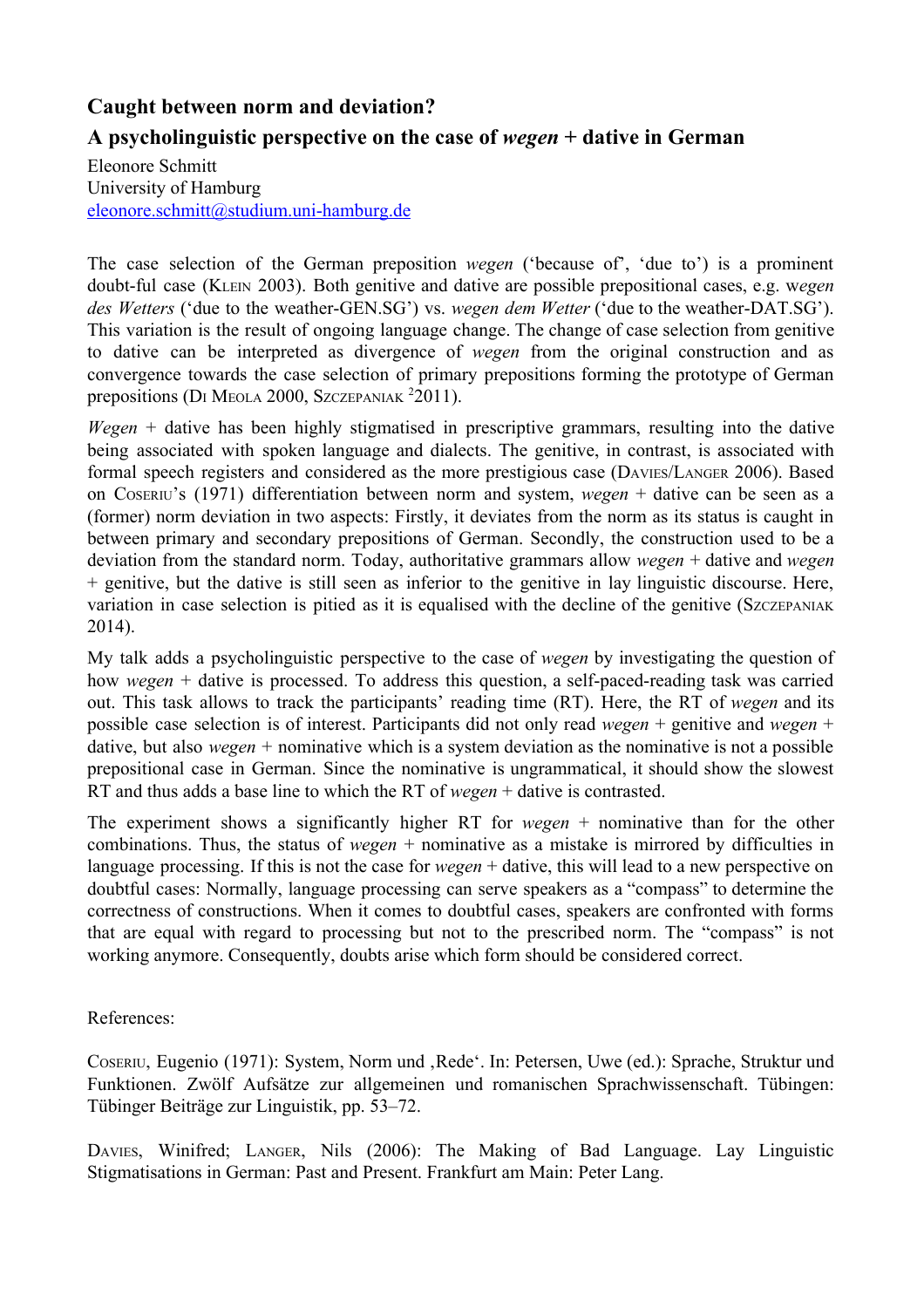## **Caught between norm and deviation? A psycholinguistic perspective on the case of** *wege n* **+ dative in German**

Eleonore Schmitt University of Hamburg eleonore.schmitt@studium.uni-hamburg.de

The case selection of the German preposition *wegen* ('because of', 'due to') is a prominent doubt-ful case (KLEIN 2003). Both genitive and dative are possible prepositional cases, e.g. wegen *des Wetters* ('due to the weather-GEN.SG') vs. *wegen dem Wetter* ('due to the weather-DAT.SG'). This variation is the result of ongoing language change. The change of case selection from genitive to dative can be interpreted as divergence of *wegen* from the original construction and as convergence towards the case selection of primary prepositions forming the prototype of German prepositions (DI MEOLA 2000, SZCZEPANIAK <sup>2</sup>2011).

*Wegen* + dative has been highly stigmatised in prescriptive grammars, resulting into the dative being associated with spoken language and dialects. The genitive, in contrast, is associated with formal speech registers and considered as the more prestigious case (DAVIES/LANGER 2006). Based on COSERIU's (1971) differentiation between norm and system, *wegen* + dative can be seen as a (former) norm deviation in two aspects: Firstly, it deviates from the norm as its status is caught in between primary and secondary prepositions of German. Secondly, the construction used to be a deviation from the standard norm. Today, authoritative grammars allow *wegen* + dative and *wegen* + genitive, but the dative is still seen as inferior to the genitive in lay linguistic discourse. Here, variation in case selection is pitied as it is equalised with the decline of the genitive (SzczEPANIAK) 2014).

My talk adds a psycholinguistic perspective to the case of *wegen* by investigating the question of how *wegen* + dative is processed. To address this question, a self-paced-reading task was carried out. This task allows to track the participants' reading time (RT). Here, the RT of *wegen* and its possible case selection is of interest. Participants did not only read *wegen* + genitive and *wegen* + dative, but also *wegen* + nominative which is a system deviation as the nominative is not a possible prepositional case in German. Since the nominative is ungrammatical, it should show the slowest RT and thus adds a base line to which the RT of *wegen* + dative is contrasted.

The experiment shows a significantly higher RT for *wegen* + nominative than for the other combinations. Thus, the status of *wegen* + nominative as a mistake is mirrored by difficulties in language processing. If this is not the case for *wegen* + dative, this will lead to a new perspective on doubtful cases: Normally, language processing can serve speakers as a "compass" to determine the correctness of constructions. When it comes to doubtful cases, speakers are confronted with forms that are equal with regard to processing but not to the prescribed norm. The "compass" is not working anymore. Consequently, doubts arise which form should be considered correct.

## References:

COSERIU, Eugenio (1971): System, Norm und 'Rede'. In: Petersen, Uwe (ed.): Sprache, Struktur und Funktionen. Zwölf Aufsätze zur allgemeinen und romanischen Sprachwissenschaft. Tübingen: Tübinger Beiträge zur Linguistik, pp. 53–72.

DAVIES, Winifred; LANGER, Nils (2006): The Making of Bad Language. Lay Linguistic Stigmatisations in German: Past and Present. Frankfurt am Main: Peter Lang.